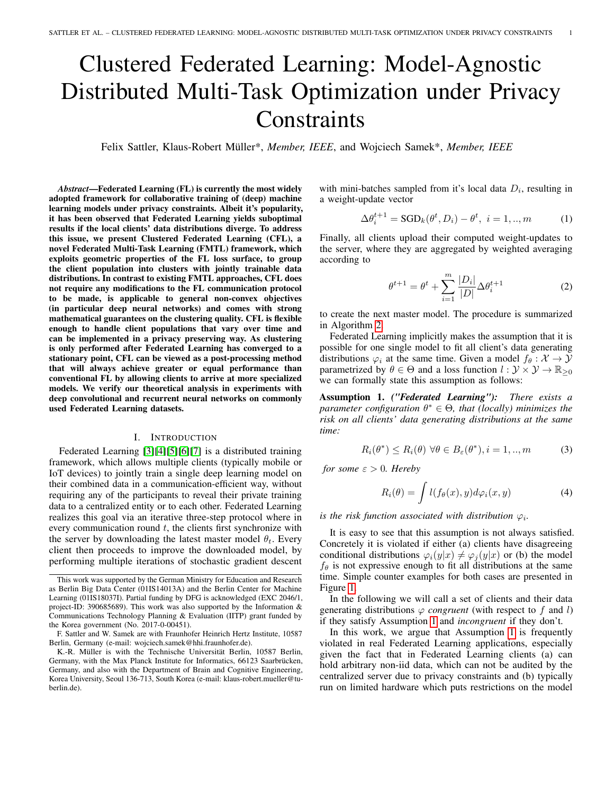# Clustered Federated Learning: Model-Agnostic Distributed Multi-Task Optimization under Privacy **Constraints**

Felix Sattler, Klaus-Robert Müller\*, *Member, IEEE*, and Wojciech Samek\*, *Member, IEEE*

*Abstract*—Federated Learning (FL) is currently the most widely adopted framework for collaborative training of (deep) machine learning models under privacy constraints. Albeit it's popularity, it has been observed that Federated Learning yields suboptimal results if the local clients' data distributions diverge. To address this issue, we present Clustered Federated Learning (CFL), a novel Federated Multi-Task Learning (FMTL) framework, which exploits geometric properties of the FL loss surface, to group the client population into clusters with jointly trainable data distributions. In contrast to existing FMTL approaches, CFL does not require any modifications to the FL communication protocol to be made, is applicable to general non-convex objectives (in particular deep neural networks) and comes with strong mathematical guarantees on the clustering quality. CFL is flexible enough to handle client populations that vary over time and can be implemented in a privacy preserving way. As clustering is only performed after Federated Learning has converged to a stationary point, CFL can be viewed as a post-processing method that will always achieve greater or equal performance than conventional FL by allowing clients to arrive at more specialized models. We verify our theoretical analysis in experiments with deep convolutional and recurrent neural networks on commonly used Federated Learning datasets.

# I. INTRODUCTION

<span id="page-0-3"></span>Federated Learning [\[3\]](#page-10-0)[\[4\]](#page-10-1)[\[5\]](#page-10-2)[\[6\]](#page-10-3)[\[7\]](#page-10-4) is a distributed training framework, which allows multiple clients (typically mobile or IoT devices) to jointly train a single deep learning model on their combined data in a communication-efficient way, without requiring any of the participants to reveal their private training data to a centralized entity or to each other. Federated Learning realizes this goal via an iterative three-step protocol where in every communication round  $t$ , the clients first synchronize with the server by downloading the latest master model  $\theta_t$ . Every client then proceeds to improve the downloaded model, by performing multiple iterations of stochastic gradient descent

with mini-batches sampled from it's local data  $D_i$ , resulting in a weight-update vector

$$
\Delta \theta_i^{t+1} = \text{SGD}_k(\theta^t, D_i) - \theta^t, \ i = 1, ..., m \tag{1}
$$

Finally, all clients upload their computed weight-updates to the server, where they are aggregated by weighted averaging according to

<span id="page-0-2"></span><span id="page-0-1"></span>
$$
\theta^{t+1} = \theta^t + \sum_{i=1}^m \frac{|D_i|}{|D|} \Delta \theta_i^{t+1}
$$
 (2)

to create the next master model. The procedure is summarized in Algorithm [2.](#page-5-0)

Federated Learning implicitly makes the assumption that it is possible for one single model to fit all client's data generating distributions  $\varphi_i$  at the same time. Given a model  $f_\theta : \mathcal{X} \to \mathcal{Y}$ parametrized by  $\theta \in \Theta$  and a loss function  $l : \mathcal{Y} \times \mathcal{Y} \to \mathbb{R}_{\geq 0}$ we can formally state this assumption as follows:

<span id="page-0-0"></span>Assumption 1. *("Federated Learning"): There exists a parameter configuration* θ <sup>∗</sup> ∈ Θ*, that (locally) minimizes the risk on all clients' data generating distributions at the same time:*

$$
R_i(\theta^*) \le R_i(\theta) \,\forall \theta \in B_{\varepsilon}(\theta^*), i = 1, ..., m \tag{3}
$$

*for some*  $\varepsilon > 0$ *. Hereby* 

$$
R_i(\theta) = \int l(f_{\theta}(x), y) d\varphi_i(x, y) \tag{4}
$$

*is the risk function associated with distribution*  $\varphi_i$ *.* 

It is easy to see that this assumption is not always satisfied. Concretely it is violated if either (a) clients have disagreeing conditional distributions  $\varphi_i(y|x) \neq \varphi_i(y|x)$  or (b) the model  $f_{\theta}$  is not expressive enough to fit all distributions at the same time. Simple counter examples for both cases are presented in Figure [1.](#page-1-0)

In the following we will call a set of clients and their data generating distributions  $\varphi$  *congruent* (with respect to f and l) if they satisfy Assumption [1](#page-0-0) and *incongruent* if they don't.

In this work, we argue that Assumption [1](#page-0-0) is frequently violated in real Federated Learning applications, especially given the fact that in Federated Learning clients (a) can hold arbitrary non-iid data, which can not be audited by the centralized server due to privacy constraints and (b) typically run on limited hardware which puts restrictions on the model

This work was supported by the German Ministry for Education and Research as Berlin Big Data Center (01IS14013A) and the Berlin Center for Machine Learning (01IS18037I). Partial funding by DFG is acknowledged (EXC 2046/1, project-ID: 390685689). This work was also supported by the Information & Communications Technology Planning & Evaluation (IITP) grant funded by the Korea government (No. 2017-0-00451).

F. Sattler and W. Samek are with Fraunhofer Heinrich Hertz Institute, 10587 Berlin, Germany (e-mail: wojciech.samek@hhi.fraunhofer.de).

K.-R. Müller is with the Technische Universität Berlin, 10587 Berlin, Germany, with the Max Planck Institute for Informatics, 66123 Saarbrücken, Germany, and also with the Department of Brain and Cognitive Engineering, Korea University, Seoul 136-713, South Korea (e-mail: klaus-robert.mueller@tuberlin.de).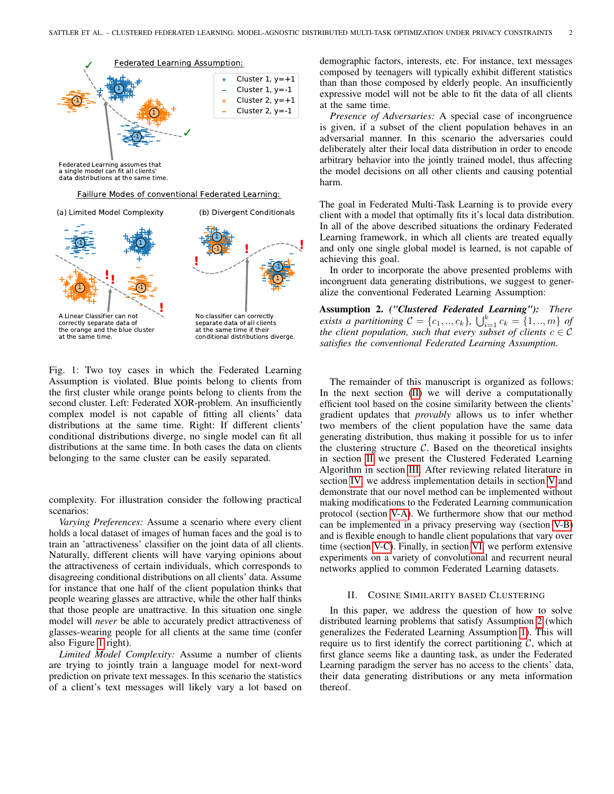<span id="page-1-0"></span>

Faillure Modes of conventional Federated Learning:

-1 -1 1 1 A Linear Classifier can not **! ! !** (a) Limited Model Complexity **! !** -1 **!** 1 1 -1 (b) Divergent Conditionals



No classifier can correctly separate data of all clients

at the same time if their conditional distributions diverge.

Fig. 1: Two toy cases in which the Federated Learning Assumption is violated. Blue points belong to clients from the first cluster while orange points belong to clients from the second cluster. Left: Federated XOR-problem. An insufficiently complex model is not capable of fitting all clients' data distributions at the same time. Right: If different clients' conditional distributions diverge, no single model can fit all distributions at the same time. In both cases the data on clients belonging to the same cluster can be easily separated.

complexity. For illustration consider the following practical scenarios:

*Varying Preferences:* Assume a scenario where every client holds a local dataset of images of human faces and the goal is to train an 'attractiveness' classifier on the joint data of all clients. Naturally, different clients will have varying opinions about the attractiveness of certain individuals, which corresponds to disagreeing conditional distributions on all clients' data. Assume for instance that one half of the client population thinks that people wearing glasses are attractive, while the other half thinks that those people are unattractive. In this situation one single model will *never* be able to accurately predict attractiveness of glasses-wearing people for all clients at the same time (confer also Figure [1](#page-1-0) right).

*Limited Model Complexity:* Assume a number of clients are trying to jointly train a language model for next-word prediction on private text messages. In this scenario the statistics of a client's text messages will likely vary a lot based on demographic factors, interests, etc. For instance, text messages composed by teenagers will typically exhibit different statistics than than those composed by elderly people. An insufficiently expressive model will not be able to fit the data of all clients at the same time.

*Presence of Adversaries:* A special case of incongruence is given, if a subset of the client population behaves in an adversarial manner. In this scenario the adversaries could deliberately alter their local data distribution in order to encode arbitrary behavior into the jointly trained model, thus affecting the model decisions on all other clients and causing potential harm.

The goal in Federated Multi-Task Learning is to provide every client with a model that optimally fits it's local data distribution. In all of the above described situations the ordinary Federated Learning framework, in which all clients are treated equally and only one single global model is learned, is not capable of achieving this goal.

In order to incorporate the above presented problems with incongruent data generating distributions, we suggest to generalize the conventional Federated Learning Assumption:

<span id="page-1-2"></span>Assumption 2. *("Clustered Federated Learning"): There exists a partitioning*  $C = \{c_1, ..., c_k\}$ ,  $\bigcup_{i=1}^k c_k = \{1, ..., m\}$  *of the client population, such that every subset of clients*  $c \in \mathcal{C}$ *satisfies the conventional Federated Learning Assumption.*

The remainder of this manuscript is organized as follows: In the next section [\(II\)](#page-1-1) we will derive a computationally efficient tool based on the cosine similarity between the clients' gradient updates that *provably* allows us to infer whether two members of the client population have the same data generating distribution, thus making it possible for us to infer the clustering structure  $C$ . Based on the theoretical insights in section [II](#page-1-1) we present the Clustered Federated Learning Algorithm in section [III.](#page-4-0) After reviewing related literature in section [IV,](#page-5-1) we address implementation details in section [V](#page-5-2) and demonstrate that our novel method can be implemented without making modifications to the Federated Learning communication protocol (section [V-A\)](#page-5-3). We furthermore show that our method can be implemented in a privacy preserving way (section [V-B\)](#page-6-0) and is flexible enough to handle client populations that vary over time (section [V-C\)](#page-6-1). Finally, in section [VI,](#page-7-0) we perform extensive experiments on a variety of convolutional and recurrent neural networks applied to common Federated Learning datasets.

### II. COSINE SIMILARITY BASED CLUSTERING

<span id="page-1-1"></span>In this paper, we address the question of how to solve distributed learning problems that satisfy Assumption [2](#page-1-2) (which generalizes the Federated Learning Assumption [1\)](#page-0-0). This will require us to first identify the correct partitioning  $C$ , which at first glance seems like a daunting task, as under the Federated Learning paradigm the server has no access to the clients' data, their data generating distributions or any meta information thereof.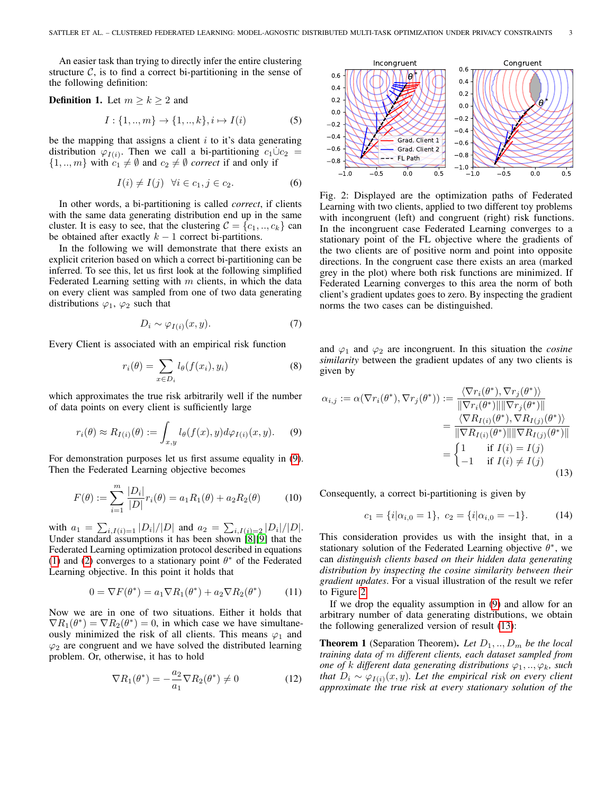An easier task than trying to directly infer the entire clustering structure  $C$ , is to find a correct bi-partitioning in the sense of the following definition:

<span id="page-2-4"></span>**Definition 1.** Let  $m \ge k \ge 2$  and

$$
I: \{1, ..., m\} \to \{1, ..., k\}, i \mapsto I(i)
$$
 (5)

be the mapping that assigns a client  $i$  to it's data generating distribution  $\varphi_{I(i)}$ . Then we call a bi-partitioning  $c_1 \dot{\cup} c_2$  =  $\{1, ..., m\}$  with  $c_1 \neq \emptyset$  and  $c_2 \neq \emptyset$  *correct* if and only if

$$
I(i) \neq I(j) \quad \forall i \in c_1, j \in c_2. \tag{6}
$$

In other words, a bi-partitioning is called *correct*, if clients with the same data generating distribution end up in the same cluster. It is easy to see, that the clustering  $C = \{c_1, ..., c_k\}$  can be obtained after exactly  $k - 1$  correct bi-partitions.

In the following we will demonstrate that there exists an explicit criterion based on which a correct bi-partitioning can be inferred. To see this, let us first look at the following simplified Federated Learning setting with  $m$  clients, in which the data on every client was sampled from one of two data generating distributions  $\varphi_1$ ,  $\varphi_2$  such that

$$
D_i \sim \varphi_{I(i)}(x, y). \tag{7}
$$

Every Client is associated with an empirical risk function

$$
r_i(\theta) = \sum_{x \in D_i} l_{\theta}(f(x_i), y_i)
$$
 (8)

which approximates the true risk arbitrarily well if the number of data points on every client is sufficiently large

$$
r_i(\theta) \approx R_{I(i)}(\theta) := \int_{x,y} l_{\theta}(f(x), y) d\varphi_{I(i)}(x, y). \tag{9}
$$

For demonstration purposes let us first assume equality in [\(9\)](#page-2-0). Then the Federated Learning objective becomes

$$
F(\theta) := \sum_{i=1}^{m} \frac{|D_i|}{|D|} r_i(\theta) = a_1 R_1(\theta) + a_2 R_2(\theta)
$$
 (10)

with  $a_1 = \sum_{i,I(i)=1} |D_i|/|D|$  and  $a_2 = \sum_{i,I(i)=2} |D_i|/|D|$ . Under standard assumptions it has been shown [\[8\]](#page-10-5)[\[9\]](#page-10-6) that the Federated Learning optimization protocol described in equations [\(1\)](#page-0-1) and [\(2\)](#page-0-2) converges to a stationary point  $\theta^*$  of the Federated Learning objective. In this point it holds that

$$
0 = \nabla F(\theta^*) = a_1 \nabla R_1(\theta^*) + a_2 \nabla R_2(\theta^*)
$$
 (11)

Now we are in one of two situations. Either it holds that  $\nabla R_1(\theta^*) = \nabla R_2(\theta^*) = 0$ , in which case we have simultaneously minimized the risk of all clients. This means  $\varphi_1$  and  $\varphi_2$  are congruent and we have solved the distributed learning problem. Or, otherwise, it has to hold

$$
\nabla R_1(\theta^*) = -\frac{a_2}{a_1} \nabla R_2(\theta^*) \neq 0 \tag{12}
$$

<span id="page-2-1"></span>

Fig. 2: Displayed are the optimization paths of Federated Learning with two clients, applied to two different toy problems with incongruent (left) and congruent (right) risk functions. In the incongruent case Federated Learning converges to a stationary point of the FL objective where the gradients of the two clients are of positive norm and point into opposite directions. In the congruent case there exists an area (marked grey in the plot) where both risk functions are minimized. If Federated Learning converges to this area the norm of both client's gradient updates goes to zero. By inspecting the gradient norms the two cases can be distinguished.

and  $\varphi_1$  and  $\varphi_2$  are incongruent. In this situation the *cosine similarity* between the gradient updates of any two clients is given by

<span id="page-2-0"></span>
$$
\alpha_{i,j} := \alpha(\nabla r_i(\theta^*), \nabla r_j(\theta^*)) := \frac{\langle \nabla r_i(\theta^*), \nabla r_j(\theta^*) \rangle}{\|\nabla r_i(\theta^*)\| \|\nabla r_j(\theta^*)\|} \\
= \frac{\langle \nabla R_{I(i)}(\theta^*)\| \|\nabla r_j(\theta^*)\|}{\|\nabla R_{I(i)}(\theta^*)\| \|\nabla R_{I(j)}(\theta^*)\|} \\
= \begin{cases}\n1 & \text{if } I(i) = I(j) \\
-1 & \text{if } I(i) \neq I(j)\n\end{cases}
$$
\n(13)

Consequently, a correct bi-partitioning is given by

<span id="page-2-2"></span>
$$
c_1 = \{i | \alpha_{i,0} = 1\}, \ c_2 = \{i | \alpha_{i,0} = -1\}.
$$
 (14)

This consideration provides us with the insight that, in a stationary solution of the Federated Learning objective  $\theta^*$ , we can *distinguish clients based on their hidden data generating distribution by inspecting the cosine similarity between their gradient updates*. For a visual illustration of the result we refer to Figure [2.](#page-2-1)

If we drop the equality assumption in [\(9\)](#page-2-0) and allow for an arbitrary number of data generating distributions, we obtain the following generalized version of result [\(13\)](#page-2-2):

<span id="page-2-3"></span>**Theorem 1** (Separation Theorem). Let  $D_1, \ldots, D_m$  be the local *training data of* m *different clients, each dataset sampled from one of* k different data generating distributions  $\varphi_1, \ldots, \varphi_k$ , such *that*  $D_i \sim \varphi_{I(i)}(x, y)$ *. Let the empirical risk on every client approximate the true risk at every stationary solution of the*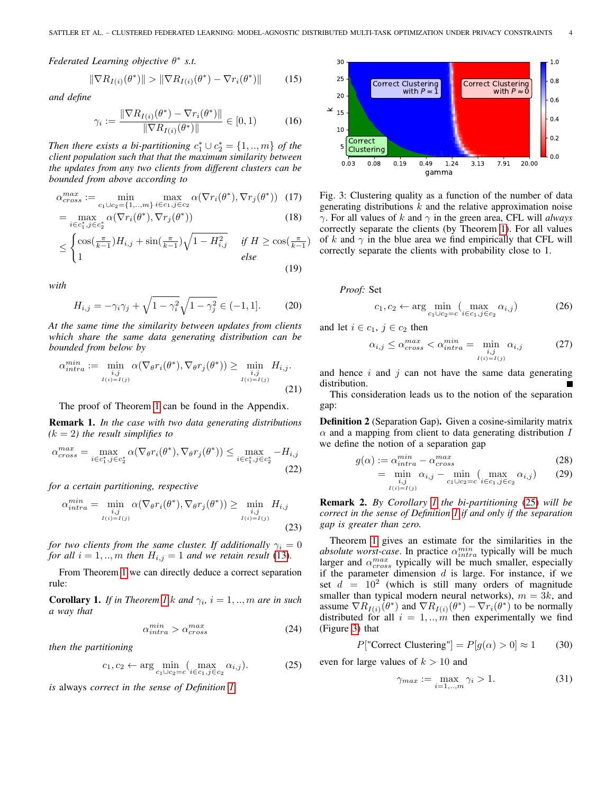*Federated Learning objective* θ ∗ *s.t.*

$$
\|\nabla R_{I(i)}(\theta^*)\| > \|\nabla R_{I(i)}(\theta^*) - \nabla r_i(\theta^*)\| \tag{15}
$$

*and define*

$$
\gamma_i := \frac{\|\nabla R_{I(i)}(\theta^*) - \nabla r_i(\theta^*)\|}{\|\nabla R_{I(i)}(\theta^*)\|} \in [0, 1)
$$
 (16)

*Then there exists a bi-partitioning*  $c_1^* \cup c_2^* = \{1, ..., m\}$  *of the client population such that that the maximum similarity between the updates from any two clients from different clusters can be bounded from above according to*

$$
\alpha_{cross}^{max} := \min_{c_1 \cup c_2 = \{1, \dots, m\}} \max_{i \in c_1, j \in c_2} \alpha(\nabla r_i(\theta^*), \nabla r_j(\theta^*)) \tag{17}
$$

$$
= \max_{i \in c_1^*, j \in c_2^*} \alpha(\nabla r_i(\theta^*), \nabla r_j(\theta^*))
$$
\n(18)

$$
\leq \begin{cases} \cos(\frac{\pi}{k-1})H_{i,j} + \sin(\frac{\pi}{k-1})\sqrt{1 - H_{i,j}^2} & \text{if } H \geq \cos(\frac{\pi}{k-1})\\ 1 & \text{else} \end{cases}
$$
(19)

*with*

$$
H_{i,j} = -\gamma_i \gamma_j + \sqrt{1 - \gamma_i^2} \sqrt{1 - \gamma_j^2} \in (-1, 1].
$$
 (20)

*At the same time the similarity between updates from clients which share the same data generating distribution can be bounded from below by*

$$
\alpha_{intra}^{min} := \min_{\substack{i,j \\ I(i) = I(j)}} \alpha(\nabla_{\theta} r_i(\theta^*), \nabla_{\theta} r_j(\theta^*)) \ge \min_{\substack{i,j \\ I(i) = I(j)}} H_{i,j}.
$$
\n(21)

The proof of Theorem [1](#page-2-3) can be found in the Appendix.

Remark 1. *In the case with two data generating distributions*  $(k = 2)$  the result simplifies to

$$
\alpha_{cross}^{max} = \max_{i \in c_1^*, j \in c_2^*} \alpha(\nabla_{\theta} r_i(\theta^*), \nabla_{\theta} r_j(\theta^*)) \le \max_{i \in c_1^*, j \in c_2^*} -H_{i,j}
$$
\n(22)

*for a certain partitioning, respective*

$$
\alpha_{intra}^{min} = \min_{\substack{i,j \\ I(i) = I(j)}} \alpha(\nabla_{\theta} r_i(\theta^*), \nabla_{\theta} r_j(\theta^*)) \ge \min_{\substack{i,j \\ I(i) = I(j)}} H_{i,j}
$$
\n(23)

*for two clients from the same cluster. If additionally*  $\gamma_i = 0$ *for all*  $i = 1, \ldots, m$  *then*  $H_{i,j} = 1$  *and we retain result* [\(13\)](#page-2-2)*.* 

From Theorem [1](#page-2-3) we can directly deduce a correct separation rule:

<span id="page-3-0"></span>**Corollary [1](#page-2-3).** *If in Theorem 1 k and*  $\gamma_i$ ,  $i = 1, ..., m$  *are in such a way that*

$$
\alpha_{intra}^{min} > \alpha_{cross}^{max} \tag{24}
$$

*then the partitioning*

$$
c_1, c_2 \leftarrow \arg\min_{c_1 \cup c_2 = c} \left( \max_{i \in c_1, j \in c_2} \alpha_{i,j} \right). \tag{25}
$$

*is* always *correct in the sense of Definition [1.](#page-2-4)*

<span id="page-3-2"></span>

Fig. 3: Clustering quality as a function of the number of data generating distributions  $k$  and the relative approximation noise γ. For all values of k and γ in the green area, CFL will *always* correctly separate the clients (by Theorem [1\)](#page-2-3). For all values of k and  $\gamma$  in the blue area we find empirically that CFL will correctly separate the clients with probability close to 1.

*Proof:* Set

$$
c_1, c_2 \leftarrow \arg\min_{c_1 \cup c_2 = c} (\max_{i \in c_1, j \in c_2} \alpha_{i,j})
$$
 (26)

and let  $i \in c_1$ ,  $j \in c_2$  then

$$
\alpha_{i,j} \le \alpha_{cross}^{max} < \alpha_{intra}^{min} = \min_{\substack{i,j \\ I(i) = I(j)}} \alpha_{i,j} \tag{27}
$$

and hence  $i$  and  $j$  can not have the same data generating distribution.

This consideration leads us to the notion of the separation gap:

<span id="page-3-3"></span>Definition 2 (Separation Gap). Given a cosine-similarity matrix  $\alpha$  and a mapping from client to data generating distribution I we define the notion of a separation gap

$$
g(\alpha) := \alpha_{intra}^{min} - \alpha_{cross}^{max}
$$
 (28)

$$
= \min_{\substack{i,j \\ I(i)=I(j)}} \alpha_{i,j} - \min_{c_1 \cup c_2 = c} \left( \max_{i \in c_1, j \in c_2} \alpha_{i,j} \right) \tag{29}
$$

Remark 2. *By Corollary [1](#page-3-0) the bi-partitioning* [\(25\)](#page-3-1) *will be correct in the sense of Definition [1](#page-2-4) if and only if the separation gap is greater than zero.*

Theorem [1](#page-2-3) gives an estimate for the similarities in the *absolute worst-case*. In practice  $\alpha_{intra}^{min}$  typically will be much larger and  $\alpha_{cross}^{max}$  typically will be much smaller, especially if the parameter dimension  $d$  is large. For instance, if we set  $d = 10^2$  (which is still many orders of magnitude smaller than typical modern neural networks),  $m = 3k$ , and assume  $\nabla R_{I(i)}(\theta^*)$  and  $\nabla R_{I(i)}(\theta^*) - \nabla r_i(\theta^*)$  to be normally distributed for all  $i = 1, \dots, m$  then experimentally we find (Figure [3\)](#page-3-2) that

$$
P["Correct \ Clustering"] = P[g(\alpha) > 0] \approx 1 \qquad (30)
$$

<span id="page-3-1"></span>even for large values of  $k > 10$  and

$$
\gamma_{max} := \max_{i=1,\dots,m} \gamma_i > 1. \tag{31}
$$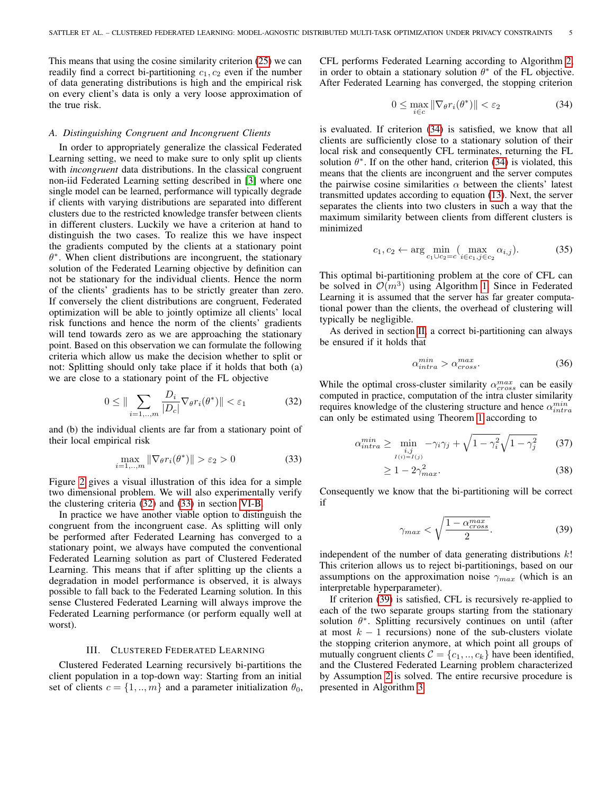This means that using the cosine similarity criterion [\(25\)](#page-3-1) we can readily find a correct bi-partitioning  $c_1, c_2$  even if the number of data generating distributions is high and the empirical risk on every client's data is only a very loose approximation of the true risk.

# *A. Distinguishing Congruent and Incongruent Clients*

In order to appropriately generalize the classical Federated Learning setting, we need to make sure to only split up clients with *incongruent* data distributions. In the classical congruent non-iid Federated Learning setting described in [\[3\]](#page-10-0) where one single model can be learned, performance will typically degrade if clients with varying distributions are separated into different clusters due to the restricted knowledge transfer between clients in different clusters. Luckily we have a criterion at hand to distinguish the two cases. To realize this we have inspect the gradients computed by the clients at a stationary point  $\theta^*$ . When client distributions are incongruent, the stationary solution of the Federated Learning objective by definition can not be stationary for the individual clients. Hence the norm of the clients' gradients has to be strictly greater than zero. If conversely the client distributions are congruent, Federated optimization will be able to jointly optimize all clients' local risk functions and hence the norm of the clients' gradients will tend towards zero as we are approaching the stationary point. Based on this observation we can formulate the following criteria which allow us make the decision whether to split or not: Splitting should only take place if it holds that both (a) we are close to a stationary point of the FL objective

$$
0 \leq \|\sum_{i=1,\dots,m} \frac{D_i}{|D_c|} \nabla_{\theta} r_i(\theta^*) \| < \varepsilon_1 \tag{32}
$$

and (b) the individual clients are far from a stationary point of their local empirical risk

$$
\max_{i=1,\dots,m} \|\nabla_{\theta} r_i(\theta^*)\| > \varepsilon_2 > 0 \tag{33}
$$

Figure [2](#page-2-1) gives a visual illustration of this idea for a simple two dimensional problem. We will also experimentally verify the clustering criteria [\(32\)](#page-4-1) and [\(33\)](#page-4-2) in section [VI-B.](#page-8-0)

In practice we have another viable option to distinguish the congruent from the incongruent case. As splitting will only be performed after Federated Learning has converged to a stationary point, we always have computed the conventional Federated Learning solution as part of Clustered Federated Learning. This means that if after splitting up the clients a degradation in model performance is observed, it is always possible to fall back to the Federated Learning solution. In this sense Clustered Federated Learning will always improve the Federated Learning performance (or perform equally well at worst).

# III. CLUSTERED FEDERATED LEARNING

<span id="page-4-0"></span>Clustered Federated Learning recursively bi-partitions the client population in a top-down way: Starting from an initial set of clients  $c = \{1, ..., m\}$  and a parameter initialization  $\theta_0$ , CFL performs Federated Learning according to Algorithm [2,](#page-5-0) in order to obtain a stationary solution  $\theta^*$  of the FL objective. After Federated Learning has converged, the stopping criterion

<span id="page-4-3"></span>
$$
0 \le \max_{i \in c} \|\nabla_{\theta} r_i(\theta^*)\| < \varepsilon_2 \tag{34}
$$

is evaluated. If criterion [\(34\)](#page-4-3) is satisfied, we know that all clients are sufficiently close to a stationary solution of their local risk and consequently CFL terminates, returning the FL solution  $\theta^*$ . If on the other hand, criterion [\(34\)](#page-4-3) is violated, this means that the clients are incongruent and the server computes the pairwise cosine similarities  $\alpha$  between the clients' latest transmitted updates according to equation [\(13\)](#page-2-2). Next, the server separates the clients into two clusters in such a way that the maximum similarity between clients from different clusters is minimized

$$
c_1, c_2 \leftarrow \arg\min_{c_1 \cup c_2 = c} (\max_{i \in c_1, j \in c_2} \alpha_{i,j}).
$$
 (35)

This optimal bi-partitioning problem at the core of CFL can be solved in  $\mathcal{O}(m^3)$  using Algorithm [1.](#page-5-4) Since in Federated Learning it is assumed that the server has far greater computational power than the clients, the overhead of clustering will typically be negligible.

As derived in section [II,](#page-1-1) a correct bi-partitioning can always be ensured if it holds that

$$
\alpha_{intra}^{min} > \alpha_{cross}^{max}.\tag{36}
$$

<span id="page-4-1"></span>While the optimal cross-cluster similarity  $\alpha_{cross}^{max}$  can be easily computed in practice, computation of the intra cluster similarity requires knowledge of the clustering structure and hence  $\alpha_{intra}^{min}$ can only be estimated using Theorem [1](#page-2-3) according to

$$
\alpha_{intra}^{min} \ge \min_{\substack{i,j\\I(i)=I(j)}} -\gamma_i \gamma_j + \sqrt{1-\gamma_i^2} \sqrt{1-\gamma_j^2} \qquad (37)
$$

$$
\geq 1 - 2\gamma_{max}^2. \tag{38}
$$

<span id="page-4-2"></span>Consequently we know that the bi-partitioning will be correct if

<span id="page-4-4"></span>
$$
\gamma_{max} < \sqrt{\frac{1 - \alpha_{cross}^{max}}{2}}.\tag{39}
$$

independent of the number of data generating distributions  $k!$ This criterion allows us to reject bi-partitionings, based on our assumptions on the approximation noise  $\gamma_{max}$  (which is an interpretable hyperparameter).

If criterion [\(39\)](#page-4-4) is satisfied, CFL is recursively re-applied to each of the two separate groups starting from the stationary solution  $\theta^*$ . Splitting recursively continues on until (after at most  $k - 1$  recursions) none of the sub-clusters violate the stopping criterion anymore, at which point all groups of mutually congruent clients  $C = \{c_1, ..., c_k\}$  have been identified, and the Clustered Federated Learning problem characterized by Assumption [2](#page-1-2) is solved. The entire recursive procedure is presented in Algorithm [3.](#page-5-5)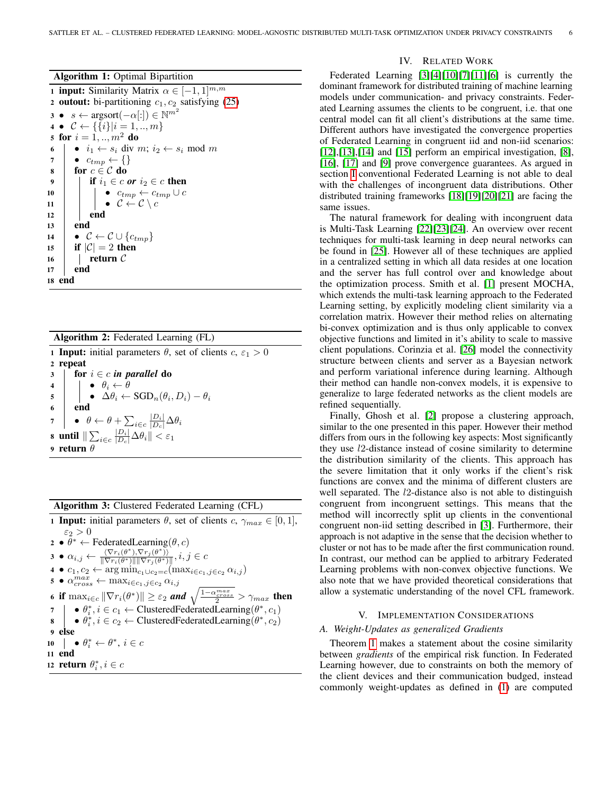|  |  |  | <b>Algorithm 1:</b> Optimal Bipartition |  |
|--|--|--|-----------------------------------------|--|
|--|--|--|-----------------------------------------|--|

<span id="page-5-4"></span>1 **input:** Similarity Matrix  $\alpha \in [-1, 1]^{m,m}$ 2 outout: bi-partitioning  $c_1, c_2$  satisfying [\(25\)](#page-3-1) 3 •  $s \leftarrow \text{argsort}(-\alpha[:]) \in \mathbb{N}^{m^2}$ 4 •  $C \leftarrow {\{\{i\}} | i = 1, ..., m\}$ 5 for  $i = 1, ..., m^2$  do 6  $\bullet$  i<sub>1</sub>  $\leftarrow$  s<sub>i</sub> div m; i<sub>2</sub>  $\leftarrow$  s<sub>i</sub> mod m<br>7  $\bullet$  c<sub>tmn</sub>  $\leftarrow$  {}  $\bullet \ \ c_{tmp} \leftarrow \{\}$ 8 for  $c \in \mathcal{C}$  do 9 **if**  $i_1 \in c$  *or*  $i_2 \in c$  then 10  $\vert$   $\vert$   $\bullet$   $c_{tmp} \leftarrow c_{tmp} \cup c$ 11  $\vert \vert \vert \cdot \vert \cdot \mathcal{C} \leftarrow \mathcal{C} \setminus c$  $12$  end  $13$  end 14  $\mathbf{C} \leftarrow \mathcal{C} \cup \{c_{tmp}\}$ 15 **if**  $|\mathcal{C}| = 2$  then 16 | return  $C$ 17 | end 18 end

Algorithm 2: Federated Learning (FL)

<span id="page-5-0"></span>1 **Input:** initial parameters  $\theta$ , set of clients  $c, \epsilon_1 > 0$ 2 repeat 3 for  $i \in c$  *in parallel* do 4  $\vert \vert \cdot \vert \cdot \theta_i \leftarrow \theta$  $\begin{array}{cc} \texttt{5} \end{array} \begin{array}{c} \begin{array}{c} \end{array} \end{array} \begin{array}{c} \bullet \end{array} \Delta \theta_i \leftarrow \text{SGD}_n(\theta_i,D_i) - \theta_i \end{array}$ 6 end 7  $\left| \quad \bullet \quad \theta \leftarrow \theta + \sum_{i \in c} \frac{|D_i|}{|D_c|} \Delta \theta_i$ 8 until  $\|\sum_{i\in c} \frac{|D_i|}{|D_c|}\Delta\theta_i\| < \varepsilon_1$ <sup>9</sup> return θ

Algorithm 3: Clustered Federated Learning (CFL)

<span id="page-5-5"></span>1 **Input:** initial parameters  $\theta$ , set of clients  $c, \gamma_{max} \in [0, 1]$ ,  $\varepsilon_2 > 0$  $\mathbf{2} \bullet \theta^* \leftarrow \text{FederatedLearning}(\theta, c)$ 3 •  $\alpha_{i,j} \leftarrow \frac{\langle \nabla r_i(\theta^*), \nabla r_j(\theta^*) \rangle}{\|\nabla r_i(\theta^*)\| \|\nabla r_i(\theta^*)\|}$  $\frac{\langle \nabla r_i(\theta^*), \nabla r_j(\theta^*) \rangle}{\|\nabla r_i(\theta^*)\| \|\nabla r_j(\theta^*)\|}, i,j \in \mathcal{C}$ 4 ●  $c_1, c_2 \leftarrow \arg\min_{c_1 \cup c_2 = c} (\max_{i \in c_1, j \in c_2} \alpha_{i,j})$  $\mathbf{s} \bullet \alpha_{cross}^{max} \leftarrow \max_{i \in c_1, j \in c_2} \alpha_{i,j}$ 6 if  $\max_{i \in c} \|\nabla r_i(\theta^*)\| \geq \varepsilon_2$  *and*  $\sqrt{\frac{1-\alpha_{cross}^{max}}{2}} > \gamma_{max}$  then  $\sigma \quad | \quad \bullet \theta_i^*, i \in c_1 \leftarrow \text{ClusteredFederatedLearning}(\theta^*, c_1)$ 8  $\theta_i^*, i \in c_2 \leftarrow$  ClusteredFederatedLearning $(\theta^*, c_2)$ <sup>9</sup> else 10  $\theta_i^* \leftarrow \theta^*, i \in c$ <sup>11</sup> end 12 **return**  $\theta_i^*, i \in \mathbb{C}$ 

# IV. RELATED WORK

<span id="page-5-1"></span>Federated Learning [\[3\]](#page-10-0)[\[4\]](#page-10-1)[\[10\]](#page-10-7)[\[7\]](#page-10-4)[\[11\]](#page-10-8)[\[6\]](#page-10-3) is currently the dominant framework for distributed training of machine learning models under communication- and privacy constraints. Federated Learning assumes the clients to be congruent, i.e. that one central model can fit all client's distributions at the same time. Different authors have investigated the convergence properties of Federated Learning in congruent iid and non-iid scenarios: [\[12\]](#page-10-9),[\[13\]](#page-10-10),[\[14\]](#page-10-11) and [\[15\]](#page-10-12) perform an empirical investigation, [\[8\]](#page-10-5), [\[16\]](#page-11-0), [\[17\]](#page-11-1) and [\[9\]](#page-10-6) prove convergence guarantees. As argued in section [I](#page-0-3) conventional Federated Learning is not able to deal with the challenges of incongruent data distributions. Other distributed training frameworks [\[18\]](#page-11-2)[\[19\]](#page-11-3)[\[20\]](#page-11-4)[\[21\]](#page-11-5) are facing the same issues.

The natural framework for dealing with incongruent data is Multi-Task Learning [\[22\]](#page-11-6)[\[23\]](#page-11-7)[\[24\]](#page-11-8). An overview over recent techniques for multi-task learning in deep neural networks can be found in [\[25\]](#page-11-9). However all of these techniques are applied in a centralized setting in which all data resides at one location and the server has full control over and knowledge about the optimization process. Smith et al. [\[1\]](#page-10-13) present MOCHA, which extends the multi-task learning approach to the Federated Learning setting, by explicitly modeling client similarity via a correlation matrix. However their method relies on alternating bi-convex optimization and is thus only applicable to convex objective functions and limited in it's ability to scale to massive client populations. Corinzia et al. [\[26\]](#page-11-10) model the connectivity structure between clients and server as a Bayesian network and perform variational inference during learning. Although their method can handle non-convex models, it is expensive to generalize to large federated networks as the client models are refined sequentially.

Finally, Ghosh et al. [\[2\]](#page-10-14) propose a clustering approach, similar to the one presented in this paper. However their method differs from ours in the following key aspects: Most significantly they use l2-distance instead of cosine similarity to determine the distribution similarity of the clients. This approach has the severe limitation that it only works if the client's risk functions are convex and the minima of different clusters are well separated. The *l*2-distance also is not able to distinguish congruent from incongruent settings. This means that the method will incorrectly split up clients in the conventional congruent non-iid setting described in [\[3\]](#page-10-0). Furthermore, their approach is not adaptive in the sense that the decision whether to cluster or not has to be made after the first communication round. In contrast, our method can be applied to arbitrary Federated Learning problems with non-convex objective functions. We also note that we have provided theoretical considerations that allow a systematic understanding of the novel CFL framework.

# V. IMPLEMENTATION CONSIDERATIONS

### <span id="page-5-3"></span><span id="page-5-2"></span>*A. Weight-Updates as generalized Gradients*

Theorem [1](#page-2-3) makes a statement about the cosine similarity between *gradients* of the empirical risk function. In Federated Learning however, due to constraints on both the memory of the client devices and their communication budged, instead commonly weight-updates as defined in [\(1\)](#page-0-1) are computed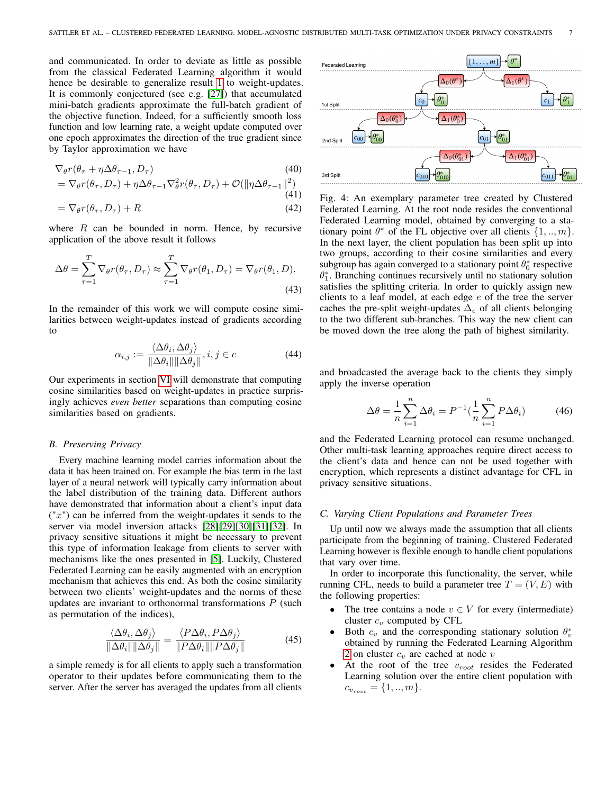and communicated. In order to deviate as little as possible from the classical Federated Learning algorithm it would hence be desirable to generalize result [1](#page-2-3) to weight-updates. It is commonly conjectured (see e.g. [\[27\]](#page-11-11)) that accumulated mini-batch gradients approximate the full-batch gradient of the objective function. Indeed, for a sufficiently smooth loss function and low learning rate, a weight update computed over one epoch approximates the direction of the true gradient since by Taylor approximation we have

$$
\nabla_{\theta} r(\theta_{\tau} + \eta \Delta \theta_{\tau-1}, D_{\tau}) \tag{40}
$$

$$
= \nabla_{\theta} r(\theta_{\tau}, D_{\tau}) + \eta \Delta \theta_{\tau-1} \nabla_{\theta}^{2} r(\theta_{\tau}, D_{\tau}) + \mathcal{O}(\|\eta \Delta \theta_{\tau-1}\|^{2})
$$
\n(41)

$$
= \nabla_{\theta} r(\theta_{\tau}, D_{\tau}) + R \tag{42}
$$

where  $R$  can be bounded in norm. Hence, by recursive application of the above result it follows

$$
\Delta \theta = \sum_{\tau=1}^{T} \nabla_{\theta} r(\theta_{\tau}, D_{\tau}) \approx \sum_{\tau=1}^{T} \nabla_{\theta} r(\theta_1, D_{\tau}) = \nabla_{\theta} r(\theta_1, D). \tag{43}
$$

In the remainder of this work we will compute cosine similarities between weight-updates instead of gradients according to

$$
\alpha_{i,j} := \frac{\langle \Delta \theta_i, \Delta \theta_j \rangle}{\|\Delta \theta_i\| \|\Delta \theta_j\|}, i, j \in c \tag{44}
$$

Our experiments in section [VI](#page-7-0) will demonstrate that computing cosine similarities based on weight-updates in practice surprisingly achieves *even better* separations than computing cosine similarities based on gradients.

#### <span id="page-6-0"></span>*B. Preserving Privacy*

Every machine learning model carries information about the data it has been trained on. For example the bias term in the last layer of a neural network will typically carry information about the label distribution of the training data. Different authors have demonstrated that information about a client's input data  $('x")$  can be inferred from the weight-updates it sends to the server via model inversion attacks [\[28\]](#page-11-12)[\[29\]](#page-11-13)[\[30\]](#page-11-14)[\[31\]](#page-11-15)[\[32\]](#page-11-16). In privacy sensitive situations it might be necessary to prevent this type of information leakage from clients to server with mechanisms like the ones presented in [\[5\]](#page-10-2). Luckily, Clustered Federated Learning can be easily augmented with an encryption mechanism that achieves this end. As both the cosine similarity between two clients' weight-updates and the norms of these updates are invariant to orthonormal transformations  $P$  (such as permutation of the indices),

$$
\frac{\langle \Delta \theta_i, \Delta \theta_j \rangle}{\|\Delta \theta_i\| \|\Delta \theta_j\|} = \frac{\langle P \Delta \theta_i, P \Delta \theta_j \rangle}{\|P \Delta \theta_i\| \|P \Delta \theta_j\|}
$$
(45)

a simple remedy is for all clients to apply such a transformation operator to their updates before communicating them to the server. After the server has averaged the updates from all clients

<span id="page-6-2"></span>

Fig. 4: An exemplary parameter tree created by Clustered Federated Learning. At the root node resides the conventional Federated Learning model, obtained by converging to a stationary point  $\theta^*$  of the FL objective over all clients  $\{1, ..., m\}$ . In the next layer, the client population has been split up into two groups, according to their cosine similarities and every subgroup has again converged to a stationary point  $\theta_0^*$  respective  $\theta_1^*$ . Branching continues recursively until no stationary solution satisfies the splitting criteria. In order to quickly assign new clients to a leaf model, at each edge  $e$  of the tree the server caches the pre-split weight-updates  $\Delta_e$  of all clients belonging to the two different sub-branches. This way the new client can be moved down the tree along the path of highest similarity.

and broadcasted the average back to the clients they simply apply the inverse operation

$$
\Delta \theta = \frac{1}{n} \sum_{i=1}^{n} \Delta \theta_i = P^{-1} \left( \frac{1}{n} \sum_{i=1}^{n} P \Delta \theta_i \right)
$$
 (46)

and the Federated Learning protocol can resume unchanged. Other multi-task learning approaches require direct access to the client's data and hence can not be used together with encryption, which represents a distinct advantage for CFL in privacy sensitive situations.

# <span id="page-6-1"></span>*C. Varying Client Populations and Parameter Trees*

Up until now we always made the assumption that all clients participate from the beginning of training. Clustered Federated Learning however is flexible enough to handle client populations that vary over time.

In order to incorporate this functionality, the server, while running CFL, needs to build a parameter tree  $T = (V, E)$  with the following properties:

- The tree contains a node  $v \in V$  for every (intermediate) cluster  $c_v$  computed by CFL
- Both  $c_v$  and the corresponding stationary solution  $\theta_v^*$ obtained by running the Federated Learning Algorithm [2](#page-5-0) on cluster  $c_v$  are cached at node  $v$
- At the root of the tree  $v_{root}$  resides the Federated Learning solution over the entire client population with  $c_{v_{root}} = \{1, ..., m\}.$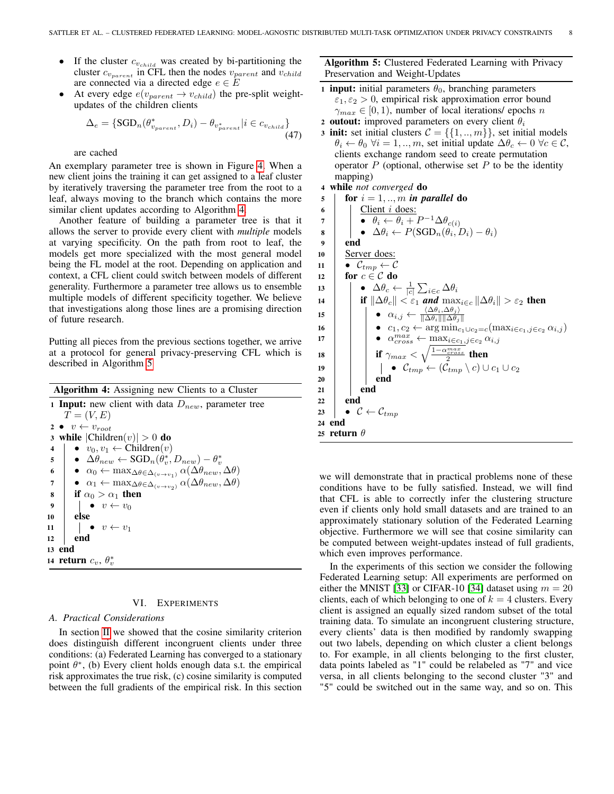- If the cluster  $c_{v_{child}}$  was created by bi-partitioning the cluster  $c_{v_{parent}}$  in CFL then the nodes  $v_{parent}$  and  $v_{child}$ are connected via a directed edge  $e \in E$
- At every edge  $e(v_{parent} \rightarrow v_{child})$  the pre-split weightupdates of the children clients

$$
\Delta_e = \{ \text{SGD}_n(\theta_{v_{parent}}^*, D_i) - \theta_{v_{parent}^*} | i \in c_{v_{child}} \}
$$
\n(47)

are cached

An exemplary parameter tree is shown in Figure [4.](#page-6-2) When a new client joins the training it can get assigned to a leaf cluster by iteratively traversing the parameter tree from the root to a leaf, always moving to the branch which contains the more similar client updates according to Algorithm [4.](#page-7-1)

Another feature of building a parameter tree is that it allows the server to provide every client with *multiple* models at varying specificity. On the path from root to leaf, the models get more specialized with the most general model being the FL model at the root. Depending on application and context, a CFL client could switch between models of different generality. Furthermore a parameter tree allows us to ensemble multiple models of different specificity together. We believe that investigations along those lines are a promising direction of future research.

Putting all pieces from the previous sections together, we arrive at a protocol for general privacy-preserving CFL which is described in Algorithm [5](#page-7-2)

<span id="page-7-1"></span>

| <b>Algorithm 4:</b> Assigning new Clients to a Cluster                                                                        |  |  |  |  |
|-------------------------------------------------------------------------------------------------------------------------------|--|--|--|--|
| <b>1 Input:</b> new client with data $D_{new}$ , parameter tree                                                               |  |  |  |  |
| $T=(V,E)$                                                                                                                     |  |  |  |  |
| 2 $v \leftarrow v_{root}$                                                                                                     |  |  |  |  |
| 3 while $ Children(v)  > 0$ do                                                                                                |  |  |  |  |
| $\bullet$ $v_0, v_1 \leftarrow$ Children $(v)$<br>4                                                                           |  |  |  |  |
| $\left  \quad \bullet \quad \Delta \theta_{new} \leftarrow \text{SGD}_n(\theta_v^*, D_{new}) - \theta_v^*$<br>5               |  |  |  |  |
| • $\alpha_0 \leftarrow \max_{\Delta\theta \in \Delta_{(v \to v_1)}} \alpha(\Delta\theta_{new}, \Delta\theta)$<br>6            |  |  |  |  |
| • $\alpha_1 \leftarrow \max_{\Delta \theta \in \Delta_{(v \rightarrow v_2)}} \alpha(\Delta \theta_{new}, \Delta \theta)$<br>7 |  |  |  |  |
| if $\alpha_0 > \alpha_1$ then<br>8                                                                                            |  |  |  |  |
| $\boldsymbol{9}$<br>$v \leftarrow v_0$                                                                                        |  |  |  |  |
| else<br>10                                                                                                                    |  |  |  |  |
| $v \leftarrow v_1$<br>11                                                                                                      |  |  |  |  |
| end<br>12                                                                                                                     |  |  |  |  |
| 13 end                                                                                                                        |  |  |  |  |
| 14 return $c_v$ , $\theta_v^*$                                                                                                |  |  |  |  |

#### VI. EXPERIMENTS

#### <span id="page-7-0"></span>*A. Practical Considerations*

In section [II](#page-1-1) we showed that the cosine similarity criterion does distinguish different incongruent clients under three conditions: (a) Federated Learning has converged to a stationary point  $\theta^*$ , (b) Every client holds enough data s.t. the empirical risk approximates the true risk, (c) cosine similarity is computed between the full gradients of the empirical risk. In this section Algorithm 5: Clustered Federated Learning with Privacy Preservation and Weight-Updates

- <span id="page-7-2"></span>1 **input:** initial parameters  $\theta_0$ , branching parameters  $\varepsilon_1, \varepsilon_2 > 0$ , empirical risk approximation error bound  $\gamma_{max} \in [0, 1)$ , number of local iterations/ epochs n
- 2 outout: improved parameters on every client  $\theta_i$
- 3 init: set initial clusters  $C = \{\{1,..,m\}\}\,$  set initial models  $\theta_i \leftarrow \theta_0 \ \forall i = 1, ..., m$ , set initial update  $\Delta \theta_c \leftarrow 0 \ \forall c \in \mathcal{C}$ , clients exchange random seed to create permutation operator  $P$  (optional, otherwise set  $P$  to be the identity mapping)

<sup>4</sup> while *not converged* do

5 for  $i = 1, ..., m$  *in parallel* do  $6$  | Client *i* does: 7  $\vert \quad \vert \quad \bullet \quad \theta_i \leftarrow \theta_i + P^{-1} \Delta \theta_{c(i)}$  $\mathbf{s}$  |  $\bullet \Delta \theta_i \leftarrow P(\text{SGD}_n(\theta_i, D_i) - \theta_i)$ 9 end 10 | Server does: 11  $\bullet$   $\mathcal{C}_{tmp} \leftarrow \mathcal{C}$ 12 for  $c \in \mathcal{C}$  do 13  $\left| \quad \right|$   $\bullet$   $\Delta \theta_c \leftarrow \frac{1}{|c|} \sum_{i \in c} \Delta \theta_i$ 14 **if**  $\|\Delta \theta_c\| < \varepsilon_1$  *and*  $\max_{i \in c} \|\Delta \theta_i\| > \varepsilon_2$  then 15 **| e**  $\alpha_{i,j} \leftarrow \frac{\langle \Delta \theta_i, \Delta \theta_j \rangle}{\|\Delta \theta_i\| \|\Delta \theta_j\|}$  $\|\Delta \theta_i\| \|\Delta \theta_j\|$ **16**  $\vert$   $\vert$  **•**  $c_1, c_2 \leftarrow \arg \min_{c_1 \cup c_2 = c} (\max_{i \in c_1, j \in c_2} \alpha_{i,j})$ 17  $\vert$   $\vert$   $\vert$   $\bullet$   $\alpha^{max}_{cross} \leftarrow \max_{i \in c_1, j \in c_2} \alpha_{i,j}$ 18 **if**  $\gamma_{max} < \sqrt{\frac{1-\alpha_{cross}^{max}}{2}}$  then 19  $\vert$   $\vert$   $\vert$   $\vert$   $\bullet$   $\mathcal{C}_{tmp} \leftarrow (\mathcal{C}_{tmp} \setminus c) \cup c_1 \cup c_2$  $20$  | | end  $21$  end  $22$  end 23  $\bullet$  C  $\leftarrow$  C<sub>tmp</sub> 24 end 25 return  $\theta$ 

we will demonstrate that in practical problems none of these conditions have to be fully satisfied. Instead, we will find that CFL is able to correctly infer the clustering structure even if clients only hold small datasets and are trained to an approximately stationary solution of the Federated Learning objective. Furthermore we will see that cosine similarity can be computed between weight-updates instead of full gradients, which even improves performance.

In the experiments of this section we consider the following Federated Learning setup: All experiments are performed on either the MNIST [\[33\]](#page-11-17) or CIFAR-10 [\[34\]](#page-11-18) dataset using  $m = 20$ clients, each of which belonging to one of  $k = 4$  clusters. Every client is assigned an equally sized random subset of the total training data. To simulate an incongruent clustering structure, every clients' data is then modified by randomly swapping out two labels, depending on which cluster a client belongs to. For example, in all clients belonging to the first cluster, data points labeled as "1" could be relabeled as "7" and vice versa, in all clients belonging to the second cluster "3" and "5" could be switched out in the same way, and so on. This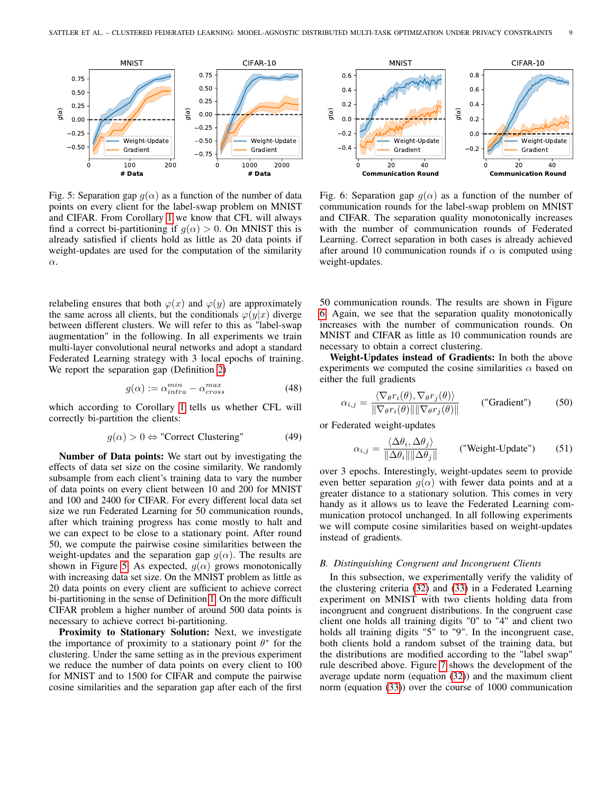<span id="page-8-1"></span>

Fig. 5: Separation gap  $g(\alpha)$  as a function of the number of data points on every client for the label-swap problem on MNIST and CIFAR. From Corollary [1](#page-3-0) we know that CFL will always find a correct bi-partitioning if  $q(\alpha) > 0$ . On MNIST this is already satisfied if clients hold as little as 20 data points if weight-updates are used for the computation of the similarity α.

<span id="page-8-2"></span>0 20 40 **Communication Round** 0.4  $-0.2$ 0.0 0.2 0.4 0.6  $g(\alpha)$ **MNIST** Weight-Update Gradient 0 20 40 **Communication Round**  $-0.2$ 0.0 0.2 0.4 0.6 0.8  $g(\alpha)$ CIFAR-10 Weight-Update Gradient

Fig. 6: Separation gap  $g(\alpha)$  as a function of the number of communication rounds for the label-swap problem on MNIST and CIFAR. The separation quality monotonically increases with the number of communication rounds of Federated Learning. Correct separation in both cases is already achieved after around 10 communication rounds if  $\alpha$  is computed using weight-updates.

relabeling ensures that both  $\varphi(x)$  and  $\varphi(y)$  are approximately the same across all clients, but the conditionals  $\varphi(y|x)$  diverge between different clusters. We will refer to this as "label-swap augmentation" in the following. In all experiments we train multi-layer convolutional neural networks and adopt a standard Federated Learning strategy with 3 local epochs of training. We report the separation gap (Definition [2\)](#page-3-3)

$$
g(\alpha) := \alpha_{intra}^{min} - \alpha_{cross}^{max}
$$
 (48)

which according to Corollary [1](#page-3-0) tells us whether CFL will correctly bi-partition the clients:

$$
g(\alpha) > 0 \Leftrightarrow \text{''Correct Clustering''} \tag{49}
$$

Number of Data points: We start out by investigating the effects of data set size on the cosine similarity. We randomly subsample from each client's training data to vary the number of data points on every client between 10 and 200 for MNIST and 100 and 2400 for CIFAR. For every different local data set size we run Federated Learning for 50 communication rounds, after which training progress has come mostly to halt and we can expect to be close to a stationary point. After round 50, we compute the pairwise cosine similarities between the weight-updates and the separation gap  $g(\alpha)$ . The results are shown in Figure [5.](#page-8-1) As expected,  $q(\alpha)$  grows monotonically with increasing data set size. On the MNIST problem as little as 20 data points on every client are sufficient to achieve correct bi-partitioning in the sense of Definition [1.](#page-2-4) On the more difficult CIFAR problem a higher number of around 500 data points is necessary to achieve correct bi-partitioning.

Proximity to Stationary Solution: Next, we investigate the importance of proximity to a stationary point  $\theta^*$  for the clustering. Under the same setting as in the previous experiment we reduce the number of data points on every client to 100 for MNIST and to 1500 for CIFAR and compute the pairwise cosine similarities and the separation gap after each of the first 50 communication rounds. The results are shown in Figure [6.](#page-8-2) Again, we see that the separation quality monotonically increases with the number of communication rounds. On MNIST and CIFAR as little as 10 communication rounds are necessary to obtain a correct clustering.

Weight-Updates instead of Gradients: In both the above experiments we computed the cosine similarities  $\alpha$  based on either the full gradients

$$
\alpha_{i,j} = \frac{\langle \nabla_{\theta} r_i(\theta), \nabla_{\theta} r_j(\theta) \rangle}{\|\nabla_{\theta} r_i(\theta)\| \|\nabla_{\theta} r_j(\theta)\|} \qquad \text{("Gradient")} \tag{50}
$$

or Federated weight-updates

$$
\alpha_{i,j} = \frac{\langle \Delta \theta_i, \Delta \theta_j \rangle}{\|\Delta \theta_i\| \|\Delta \theta_j\|} \qquad \text{("Weight-Update")} \qquad (51)
$$

over 3 epochs. Interestingly, weight-updates seem to provide even better separation  $g(\alpha)$  with fewer data points and at a greater distance to a stationary solution. This comes in very handy as it allows us to leave the Federated Learning communication protocol unchanged. In all following experiments we will compute cosine similarities based on weight-updates instead of gradients.

# <span id="page-8-0"></span>*B. Distinguishing Congruent and Incongruent Clients*

In this subsection, we experimentally verify the validity of the clustering criteria [\(32\)](#page-4-1) and [\(33\)](#page-4-2) in a Federated Learning experiment on MNIST with two clients holding data from incongruent and congruent distributions. In the congruent case client one holds all training digits "0" to "4" and client two holds all training digits "5" to "9". In the incongruent case, both clients hold a random subset of the training data, but the distributions are modified according to the "label swap" rule described above. Figure [7](#page-9-0) shows the development of the average update norm (equation [\(32\)](#page-4-1)) and the maximum client norm (equation [\(33\)](#page-4-2)) over the course of 1000 communication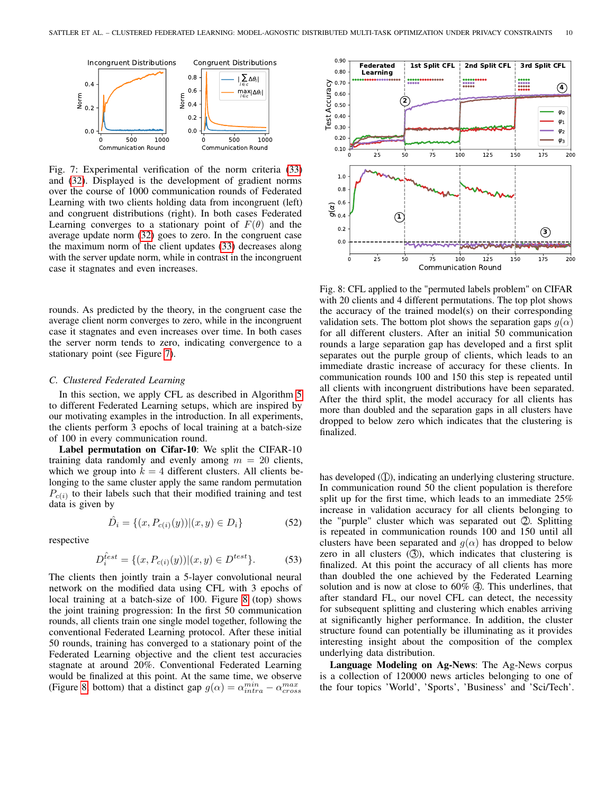<span id="page-9-0"></span>

Fig. 7: Experimental verification of the norm criteria [\(33\)](#page-4-2) and [\(32\)](#page-4-1). Displayed is the development of gradient norms over the course of 1000 communication rounds of Federated Learning with two clients holding data from incongruent (left) and congruent distributions (right). In both cases Federated Learning converges to a stationary point of  $F(\theta)$  and the average update norm [\(32\)](#page-4-1) goes to zero. In the congruent case the maximum norm of the client updates [\(33\)](#page-4-2) decreases along with the server update norm, while in contrast in the incongruent case it stagnates and even increases.

rounds. As predicted by the theory, in the congruent case the average client norm converges to zero, while in the incongruent case it stagnates and even increases over time. In both cases the server norm tends to zero, indicating convergence to a stationary point (see Figure [7\)](#page-9-0).

#### *C. Clustered Federated Learning*

In this section, we apply CFL as described in Algorithm [5](#page-7-2) to different Federated Learning setups, which are inspired by our motivating examples in the introduction. In all experiments, the clients perform 3 epochs of local training at a batch-size of 100 in every communication round.

Label permutation on Cifar-10: We split the CIFAR-10 training data randomly and evenly among  $m = 20$  clients, which we group into  $k = 4$  different clusters. All clients belonging to the same cluster apply the same random permutation  $P_{c(i)}$  to their labels such that their modified training and test data is given by

$$
\hat{D}_i = \{(x, P_{c(i)}(y)) | (x, y) \in D_i\}
$$
\n(52)

respective

$$
D_i^{\hat{t}est} = \{(x, P_{c(i)}(y)) | (x, y) \in D^{test}\}.
$$
 (53)

The clients then jointly train a 5-layer convolutional neural network on the modified data using CFL with 3 epochs of local training at a batch-size of 100. Figure [8](#page-9-1) (top) shows the joint training progression: In the first 50 communication rounds, all clients train one single model together, following the conventional Federated Learning protocol. After these initial 50 rounds, training has converged to a stationary point of the Federated Learning objective and the client test accuracies stagnate at around 20%. Conventional Federated Learning would be finalized at this point. At the same time, we observe (Figure [8,](#page-9-1) bottom) that a distinct gap  $g(\alpha) = \alpha_{intra}^{min} - \alpha_{cross}^{max}$ 

<span id="page-9-1"></span>

Fig. 8: CFL applied to the "permuted labels problem" on CIFAR with 20 clients and 4 different permutations. The top plot shows the accuracy of the trained model(s) on their corresponding validation sets. The bottom plot shows the separation gaps  $q(\alpha)$ for all different clusters. After an initial 50 communication rounds a large separation gap has developed and a first split separates out the purple group of clients, which leads to an immediate drastic increase of accuracy for these clients. In communication rounds 100 and 150 this step is repeated until all clients with incongruent distributions have been separated. After the third split, the model accuracy for all clients has more than doubled and the separation gaps in all clusters have dropped to below zero which indicates that the clustering is finalized.

has developed (①), indicating an underlying clustering structure. In communication round 50 the client population is therefore split up for the first time, which leads to an immediate 25% increase in validation accuracy for all clients belonging to the "purple" cluster which was separated out  $\mathcal{Q}$ . Splitting is repeated in communication rounds 100 and 150 until all clusters have been separated and  $g(\alpha)$  has dropped to below zero in all clusters  $(3)$ , which indicates that clustering is finalized. At this point the accuracy of all clients has more than doubled the one achieved by the Federated Learning solution and is now at close to  $60\%$   $\ddot{\textbf{4}}$ . This underlines, that after standard FL, our novel CFL can detect, the necessity for subsequent splitting and clustering which enables arriving at significantly higher performance. In addition, the cluster structure found can potentially be illuminating as it provides interesting insight about the composition of the complex underlying data distribution.

Language Modeling on Ag-News: The Ag-News corpus is a collection of 120000 news articles belonging to one of the four topics 'World', 'Sports', 'Business' and 'Sci/Tech'.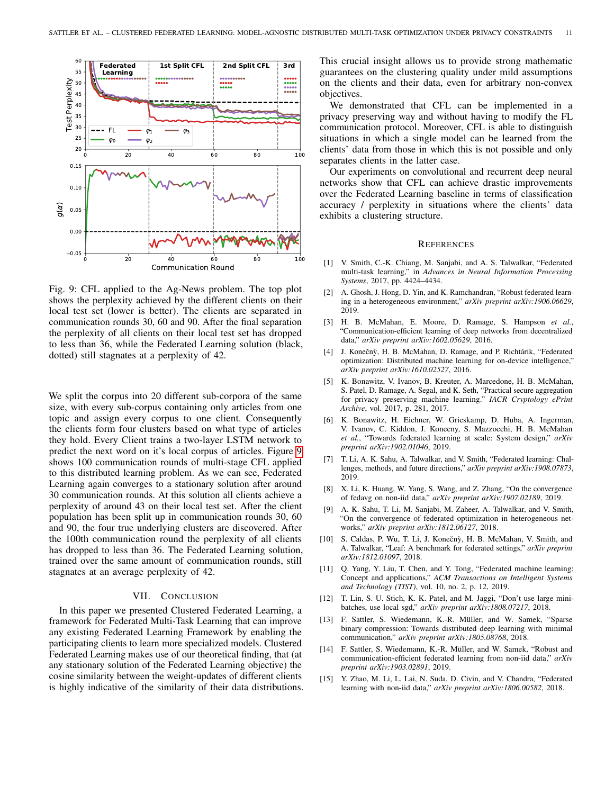<span id="page-10-15"></span>

Fig. 9: CFL applied to the Ag-News problem. The top plot shows the perplexity achieved by the different clients on their local test set (lower is better). The clients are separated in communication rounds 30, 60 and 90. After the final separation the perplexity of all clients on their local test set has dropped to less than 36, while the Federated Learning solution (black, dotted) still stagnates at a perplexity of 42.

We split the corpus into 20 different sub-corpora of the same size, with every sub-corpus containing only articles from one topic and assign every corpus to one client. Consequently the clients form four clusters based on what type of articles they hold. Every Client trains a two-layer LSTM network to predict the next word on it's local corpus of articles. Figure [9](#page-10-15) shows 100 communication rounds of multi-stage CFL applied to this distributed learning problem. As we can see, Federated Learning again converges to a stationary solution after around 30 communication rounds. At this solution all clients achieve a perplexity of around 43 on their local test set. After the client population has been split up in communication rounds 30, 60 and 90, the four true underlying clusters are discovered. After the 100th communication round the perplexity of all clients has dropped to less than 36. The Federated Learning solution, trained over the same amount of communication rounds, still stagnates at an average perplexity of 42.

# VII. CONCLUSION

In this paper we presented Clustered Federated Learning, a framework for Federated Multi-Task Learning that can improve any existing Federated Learning Framework by enabling the participating clients to learn more specialized models. Clustered Federated Learning makes use of our theoretical finding, that (at any stationary solution of the Federated Learning objective) the cosine similarity between the weight-updates of different clients is highly indicative of the similarity of their data distributions. This crucial insight allows us to provide strong mathematic guarantees on the clustering quality under mild assumptions on the clients and their data, even for arbitrary non-convex objectives.

We demonstrated that CFL can be implemented in a privacy preserving way and without having to modify the FL communication protocol. Moreover, CFL is able to distinguish situations in which a single model can be learned from the clients' data from those in which this is not possible and only separates clients in the latter case.

Our experiments on convolutional and recurrent deep neural networks show that CFL can achieve drastic improvements over the Federated Learning baseline in terms of classification accuracy / perplexity in situations where the clients' data exhibits a clustering structure.

#### **REFERENCES**

- <span id="page-10-13"></span>[1] V. Smith, C.-K. Chiang, M. Sanjabi, and A. S. Talwalkar, "Federated multi-task learning," in *Advances in Neural Information Processing Systems*, 2017, pp. 4424–4434.
- <span id="page-10-14"></span>[2] A. Ghosh, J. Hong, D. Yin, and K. Ramchandran, "Robust federated learning in a heterogeneous environment," *arXiv preprint arXiv:1906.06629*, 2019.
- <span id="page-10-0"></span>[3] H. B. McMahan, E. Moore, D. Ramage, S. Hampson *et al.*, "Communication-efficient learning of deep networks from decentralized data," *arXiv preprint arXiv:1602.05629*, 2016.
- <span id="page-10-1"></span>[4] J. Konečnỳ, H. B. McMahan, D. Ramage, and P. Richtárik, "Federated optimization: Distributed machine learning for on-device intelligence," *arXiv preprint arXiv:1610.02527*, 2016.
- <span id="page-10-2"></span>[5] K. Bonawitz, V. Ivanov, B. Kreuter, A. Marcedone, H. B. McMahan, S. Patel, D. Ramage, A. Segal, and K. Seth, "Practical secure aggregation for privacy preserving machine learning." *IACR Cryptology ePrint Archive*, vol. 2017, p. 281, 2017.
- <span id="page-10-3"></span>[6] K. Bonawitz, H. Eichner, W. Grieskamp, D. Huba, A. Ingerman, V. Ivanov, C. Kiddon, J. Konecny, S. Mazzocchi, H. B. McMahan *et al.*, "Towards federated learning at scale: System design," *arXiv preprint arXiv:1902.01046*, 2019.
- <span id="page-10-4"></span>[7] T. Li, A. K. Sahu, A. Talwalkar, and V. Smith, "Federated learning: Challenges, methods, and future directions," *arXiv preprint arXiv:1908.07873*, 2019.
- <span id="page-10-5"></span>[8] X. Li, K. Huang, W. Yang, S. Wang, and Z. Zhang, "On the convergence of fedavg on non-iid data," *arXiv preprint arXiv:1907.02189*, 2019.
- <span id="page-10-6"></span>[9] A. K. Sahu, T. Li, M. Sanjabi, M. Zaheer, A. Talwalkar, and V. Smith, "On the convergence of federated optimization in heterogeneous networks," *arXiv preprint arXiv:1812.06127*, 2018.
- <span id="page-10-7"></span>[10] S. Caldas, P. Wu, T. Li, J. Konečnỳ, H. B. McMahan, V. Smith, and A. Talwalkar, "Leaf: A benchmark for federated settings," *arXiv preprint arXiv:1812.01097*, 2018.
- <span id="page-10-8"></span>[11] Q. Yang, Y. Liu, T. Chen, and Y. Tong, "Federated machine learning: Concept and applications," *ACM Transactions on Intelligent Systems and Technology (TIST)*, vol. 10, no. 2, p. 12, 2019.
- <span id="page-10-9"></span>[12] T. Lin, S. U. Stich, K. K. Patel, and M. Jaggi, "Don't use large minibatches, use local sgd," *arXiv preprint arXiv:1808.07217*, 2018.
- <span id="page-10-10"></span>[13] F. Sattler, S. Wiedemann, K.-R. Müller, and W. Samek, "Sparse binary compression: Towards distributed deep learning with minimal communication," *arXiv preprint arXiv:1805.08768*, 2018.
- <span id="page-10-11"></span>[14] F. Sattler, S. Wiedemann, K.-R. Müller, and W. Samek, "Robust and communication-efficient federated learning from non-iid data," *arXiv preprint arXiv:1903.02891*, 2019.
- <span id="page-10-12"></span>[15] Y. Zhao, M. Li, L. Lai, N. Suda, D. Civin, and V. Chandra, "Federated learning with non-iid data," *arXiv preprint arXiv:1806.00582*, 2018.